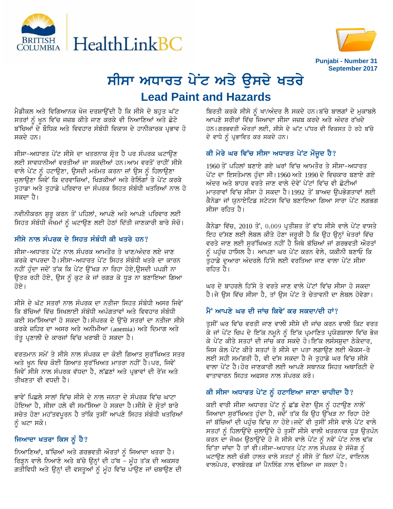



# ਸੀਸਾ ਅਧਾਰਤ ਪੇਂਟ ਅਤੇ ਉਸਦੇ **ਖਤ**ਰੇ **Lead Paint and Hazards**

<u>ਮੈਡੀਕਲ ਅਤੇ ਵਿਗਿਆਨਕ ਖੋਜ ਦਰਸ਼ਾਉਂਦੀ ਹੈ ਕਿ ਸੀਸੇ ਦੇ ਬਹੁਤ ਘੱਟ</u> ਸਤਰਾਂ ਨੂੰ ਖੂਨ ਵਿੱਚ ਜਜ਼ਬ ਕੀਤੇ ਜਾਣ ਕਰਕੇ ਵੀ ਨਿਆਣਿਆਂ ਅਤੇ ਛੋਟੇ ਬੱਚਿਆਂ ਦੇ ਬੌਧਿਕ ਅਤੇ ਵਿਵਹਾਰ ਸੰਬੰਧੀ ਵਿਕਾਸ ਦੇ ਹਾਨੀਕਾਰਕ ਪੁਭਾਵ ਹੋ ਸਕਦੇ ਹਨ।

ਸੀਸਾ-ਅਧਾਰਤ ਪੇਂਟ ਸੀਸੇ ਦਾ ਖਤਰਨਾਕ ਸ੍ਰੋਤ ਹੈ ਪਰ ਸੰਪਰਕ ਘਟਾਉਣ ਲਈ ਸਾਵਧਾਨੀਆਂ ਵਰਤੀਆਂ ਜਾ ਸਕਦੀਆਂ ਹਨ।ਆਮ ਵਰਤੋਂ ਰਾਹੀਂ ਸੀਸੇ ਵਾਲੇ ਪੇਂਟ ਨੂੰ ਹਟਾਉਣਾ, ਉਸਦੀ ਮਰੰਮਤ ਕਰਨਾ ਜਾਂ ਉਸ ਨੂੰ ਹਿਲਾਉਣਾ ਜੁਲਾਉਣਾ ਜਿਵੇਂ ਕਿ ਦਰਵਾਜ਼ਿਆਂ, ਖਿੜਕੀਆਂ ਅਤੇ ਰੇਲਿੰਗਾਂ ਤੇ ਪੇਂਟ ਕਰਕੇ ਤਹਾਡਾ ਅਤੇ ਤਹਾਡੇ ਪਰਿਵਾਰ ਦਾ ਸੰਪਰਕ ਸਿਹਤ ਸੰਬੰਧੀ ਖਤਰਿਆਂ ਨਾਲ ਹੋ ਸਕਦਾ ਹੈ।

ਨਵੀਨੀਕਰਨ ਸ਼ੁਰੂ ਕਰਨ ਤੋਂ ਪਹਿਲਾਂ, ਆਪਣੇ ਅਤੇ ਆਪਣੇ ਪਰਿਵਾਰ ਲਈ ਸਿਹਤ ਸੰਬੰਧੀ ਜੋਖਮਾਂ ਨੂੰ ਘਟਾਉਣ ਲਈ ਹੇਠਾਂ ਦਿੱਤੀ ਜਾਣਕਾਰੀ ਬਾਰੇ ਸੋਚੋ।

## ਸੀਸੇ ਨਾਲ ਸੰਪਰਕ ਦੇ ਸਿਹਤ ਸੰਬੰਧੀ ਕੀ ਖਤਰੇ ਹਨ?

ਸੀਸਾ-ਅਧਾਰਤ ਪੇਂਟ ਨਾਲ ਸੰਪਰਕ ਆਮਤੌਰ ਤੇ ਖਾਣ/ਅੰਦਰ ਲਏ ਜਾਣ ਕਰਕੇ ਵਾਪਰਦਾ ਹੈ।ਸੀਸਾ-ਅਧਾਰਤ ਪੇਂਟ ਸਿਹਤ ਸੰਬੰਧੀ ਖਤਰੇ ਦਾ ਕਾਰਨ ਨਹੀਂ ਹੰਦਾ ਜਦੋਂ ਤੱਕ ਕਿ ਪੇਂਟ ਉੱਖੜ ਨਾ ਰਿਹਾ ਹੋਏ,ੳਸਦੀ ਪਪੜੀ ਨਾ ਉਤਰ ਰਹੀ ਹੋਏ, ਉਸ ਨੂੰ ਕੁਟ ਕੇ ਜਾਂ ਰਗੜ ਕੇ ਧੁੜ ਨਾ ਬਣਾਇਆ ਗਿਆ ਹੋਏ।

ਸੀਸੇ ਦੇ ਘੱਟ ਸਤਰਾਂ ਨਾਲ ਸੰਪਰਕ ਦਾ ਨਤੀਜਾ ਸਿਹਤ ਸੰਬੰਧੀ ਅਸਰ ਜਿਵੇਂ ਕਿ ਬੱਚਿਆਂ ਵਿੱਚ ਸਿਖਲਾਈ ਸੰਬੰਧੀ ਅਪੰਗਤਾਵਾਂ ਅਤੇ ਵਿਵਹਾਰ ਸੰਬੰਧੀ ਕਈ ਸਮੱਸਿਆਵਾਂ ਹੋ ਸਕਦਾ ਹੈ।ਸੰਪਰਕ ਦੇ ਉੱਚੇ ਸਤਰਾਂ ਦਾ ਨਤੀਜਾ ਸੀਸੇ ਕਰਕੇ ਜ਼ਹਿਰ ਦਾ ਅਸਰ ਅਤੇ ਅਨੀਮੀਆ (anemia) ਅਤੇ ਦਿਮਾਗ ਅਤੇ ਤੰਤੂ ਪ੍ਰਣਾਲੀ ਦੇ ਕਾਰਜਾਂ ਵਿੱਚ ਖਰਾਬੀ ਹੋ ਸਕਦਾ ਹੈ।

ਵਰਤਮਾਨ ਸਮੇਂ ਤੇ ਸੀਸੇ ਨਾਲ ਸੰਪਰਕ ਦਾ ਕੋਈ ਗਿਆਤ ਸਰੱਖਿਅਤ ਸਤਰ ਅਤੇ ਖੁਨ ਵਿਚ ਕੋਈ ਗਿਆਤ ਸੁਰੱਖਿਅਤ ਮਾਤਰਾ ਨਹੀਂ ਹੈ।ਪਰ, ਜਿਵੇਂ ਜਿਵੇਂ ਸੀਸੇ ਨਾਲ ਸੰਪਰਕ ਵੱਧਦਾ ਹੈ, ਲੱਛਣਾਂ ਅਤੇ ਪੁਭਾਵਾਂ ਦੀ ਰੇਜ ਅਤੇ ਤੀਖਣਤਾ ਵੀ ਵਧਦੀ ਹੈ।

ਭਾਵੇਂ ਪਿਛਲੇ ਸਾਲਾਂ ਵਿੱਚ ਸੀਸੇ ਦੇ ਨਾਲ ਜਨਤਾ ਦੇ ਸੰਪਰਕ ਵਿੱਚ ਘਾਟਾ ਹੋਇਆ ਹੈ, ਸੀਸਾ ਹਲੇ ਵੀ ਸਮੱਸਿਆ ਹੋ ਸਕਦਾ ਹੈ।ਸੀਸੇ ਦੇ ਸ੍ਰੋਤਾਂ ਬਾਰੇ ਸਚੇਤ ਹੋਣਾ ਮਹੱਤਵਪੂਰਨ ਹੈ ਤਾਂਕਿ ਤੁਸੀਂ ਆਪਣੇ ਸਿਹਤ ਸੰਬੰਧੀ ਖਤਰਿਆਂ ਨੂੰ ਘਟਾ ਸਕੋ।

# **ਜਿਆਦਾ ਖਤਰਾ ਕਿਸ ਨੂੰ ਹੈ?**

ਨਿਆਣਿਆਂ, ਬੱਚਿਆਂ ਅਤੇ ਗਰਭਵਤੀ ਔਰਤਾਂ ਨੂੰ ਜਿਆਦਾ ਖਤਰਾ ਹੈ। ਰਿੜ੍ਹਨ ਵਾਲੇ ਨਿਆਣੇ ਅਤੇ ਬੱਚੇ ਉਨ੍ਹਾਂ ਦੀ ਹੱਥ – ਮੂੰਹ ਤੱਕ ਦੀ ਅਕਸਰ ਗਤੀਵਿਧੀ ਅਤੇ ਉਨ੍ਹਾਂ ਦੀ ਵਸਤੂਆਂ ਨੂੰ ਮੂੰਹ ਵਿੱਚ ਪਾਉਣ ਜਾਂ ਚਬਾਉਣ ਦੀ ਬਿਰਤੀ ਕਰਕੇ ਸੀਸੇ ਨੂੰ ਖਾ/ਅੰਦਰ ਲੈ ਸਕਦੇ ਹਨ।ਬੱਚੇ ਬਾਲਗਾਂ ਦੇ ਮਕਾਬਲੇ ਆਪਣੇ ਸਰੀਰਾਂ ਵਿੱਚ ਜਿਆਦਾ ਸੀਸਾ ਜਜ਼ਬ ਕਰਦੇ ਅਤੇ ਅੰਦਰ ਰੱਖਦੇ ਹਨ।ਗਰਭਵਤੀ ਔਰਤਾਂ ਲਈ, ਸੀਸੇ ਦੇ ਘੱਟ ਪੱਧਰ ਵੀ ਵਿਕਸਤ ਹੋ ਰਹੇ ਬੱਚੇ ਦੇ ਵਾਧੇ ਨੂੰ ਪ੍ਰਭਾਵਿਤ ਕਰ ਸਕਦੇ ਹਨ।

# ਕੀ ਮੇਰੇ ਘਰ ਵਿੱਚ ਸੀਸਾ ਅਧਾਰਤ ਪੇਂਟ ਮੌਜੂਦ ਹੈ?

1960 ਤੋਂ ਪਹਿਲਾਂ ਬਣਾਏ ਗਏ ਘਰਾਂ ਵਿੱਚ ਆਮਤੌਰ ਤੇ ਸੀਸਾ-ਅਧਾਰਤ ਪੇਂਟ ਦਾ ਇਸਤੇਮਾਲ ਹੁੰਦਾ ਸੀ। 1960 ਅਤੇ 1990 ਦੇ ਵਿਚਕਾਰ ਬਣਾਏ ਗਏ ਅੰਦਰ ਅਤੇ ਬਾਹਰ ਵਰਤੇ ਜਾਣ ਵਾਲੇ ਦੋਵੇਂ ਪੇਂਟਾਂ ਵਿੱਚ ਵੀ ਛੋਟੀਆਂ ਮਾਤਰਾਵਾਂ ਵਿੱਚ ਸੀਸਾ ਹੋ ਸਕਦਾ ਹੈ।1992 ਤੋਂ ਬਾਅਦ ਉਪਭੋਗਤਾਵਾਂ ਲਈ ਕੈਨੇਡਾ ਜਾਂ ਯੂਨਾਏਟਿਡ ਸਟੇਟਸ ਵਿੱਚ ਬਣਾਇਆ ਗਿਆ ਸਾਰਾ ਪੇਂਟ ਲਗਭਗ ਸੀਸਾ ਰਹਿਤ ਹੈ।

ਕੈਨੇਡਾ ਵਿੱਚ, 2010 ਤੋਂ, 0.009 ਪ੍ਰਤੀਸ਼ਤ ਤੋਂ ਵੱਧ ਸੀਸੇ ਵਾਲੇ ਪੇਂਟ ਵਾਸਤੇ ਇਹ ਦੱਸਣ ਲਈ ਲੇਬਲ ਕੀਤੇ ਹੋਣਾ ਜਰੂਰੀ ਹੈ ਕਿ ਉਹ ਉਨ੍ਹਾਂ ਖੇਤਰਾਂ ਵਿੱਚ ਵਰਤੇ ਜਾਣ ਲਈ ਸਰੱਖਿਅਤ ਨਹੀਂ ਹੈ ਜਿਥੇ ਬੱਚਿਆਂ ਜਾਂ ਗਰਭਵਤੀ ਔਰਤਾਂ ਨੰ ਪਹੰਚ ਹਾਸਿਲ ਹੈ। ਆਪਣਾ ਘਰ ਪੇਂਟ ਕਰਨ ਵੇਲੇ, ਯਕੀਨੀ ਬਣਾਓ ਕਿ ਤਹਾਡੇ ਦਆਰਾ ਅੰਦਰਲੇ ਹਿੱਸੇ ਲਈ ਵਰਤਿਆ ਜਾਣ ਵਾਲਾ ਪੇਂਟ ਸੀਸਾ ਰਹਿਤ ਹੈ।

ਘਰ ਦੇ ਬਾਹਰਲੇ ਹਿੱਸੇ ਤੇ ਵਰਤੇ ਜਾਣ ਵਾਲੇ ਪੇਂਟਾਂ ਵਿੱਚ ਸੀਸਾ ਹੋ ਸਕਦਾ ਹੈ।ਜੇ ਉਸ ਵਿੱਚ ਸੀਸਾ ਹੈ, ਤਾਂ ਉਸ ਪੇਂਟ ਤੇ ਚੇਤਾਵਨੀ ਦਾ ਲੇਬਲ ਹੋਵੇਗਾ।

## <u>ਮੈਂ ਆਪਣੇ ਘਰ ਦੀ ਜਾਂਚ ਕਿਵੇਂ ਕਰ ਸਕਦਾ/ਦੀ ਹਾਂ?</u>

ਤਸੀਂ ਘਰ ਵਿੱਚ ਵਰਤੀ ਜਾਣ ਵਾਲੀ ਸੀਸੇ ਦੀ ਜਾਂਚ ਕਰਨ ਵਾਲੀ ਕਿਟ ਵਰਤ ਕੇ ਜਾਂ ਪੇਂਟ ਚਿਪ ਦੇ ਇੱਕ ਨਮੂਨੇ ਨੂੰ ਇੱਕ ਪ੍ਰਮਾਣਿਤ ਪ੍ਰਯੋਗਸ਼ਾਲਾ ਵਿੱਚ ਭੇਜ ਕੇ ਪੇਂਟ ਕੀਤੇ ਸਤਹਾਂ ਦੀ ਜਾਂਚ ਕਰ ਸਕਦੇ ਹੋ।ਇੱਕ ਲਸੰਸਸ਼ੁਦਾ ਠੇਕੇਦਾਰ, ਜਿਸ ਕੋਲ ਪੇਂਟ ਕੀਤੇ ਸਤਹਾਂ ਤੇ ਸੀਸੇ ਦਾ ਪਤਾ ਲਗਾਉਣ ਲਈ ਐਕਸ-ਰੇ ਲਈ ਸਹੀ ਸਮੱਗਰੀ ਹੈ, ਵੀ ਦੱਸ ਸਕਦਾ ਹੈ ਜੇ ਤੁਹਾਡੇ ਘਰ ਵਿੱਚ ਸੀਸੇ ਵਾਲਾ ਪੇਂਟ ਹੈ।ਹੋਰ ਜਾਣਕਾਰੀ ਲਈ ਆਪਣੇ ਸਥਾਨਕ ਸਿਹਤ ਅਥਾਰਿਟੀ ਦੇ ਵਾਤਾਵਾਰਨ ਸਿਹਤ ਅਫਸਰ ਨਾਲ ਸੰਪਰਕ ਕਰੋ।

# ਕੀ ਸੀਸਾ ਅਧਾਰਤ ਪੇਂਟ ਨੂੰ ਹਟਾਇਆ ਜਾਣਾ ਚਾਹੀਦਾ ਹੈ?

ਕਈ ਵਾਰੀ ਸੀਸਾ ਅਧਾਰਤ ਪੇਂਟ ਨੂੰ ਛੱਡ ਦੇਣਾ ਉਸ ਨੂੰ ਹਟਾਉਣ ਨਾਲੋਂ ਜਿਆਦਾ ਸੁਰੱਖਿਅਤ ਹੁੰਦਾ ਹੈ, ਜਦੋਂ ਤੱਕ ਕਿ ਉਹ ਉੱਖੜ ਨਾ ਰਿਹਾ ਹੋਏ ਜਾਂ ਬੱਚਿਆਂ ਦੀ ਪਹੰਚ ਵਿੱਚ ਨਾ ਹੋਏ।ਜਦੋਂ ਵੀ ਤਸੀਂ ਸੀਸੇ ਵਾਲੇ ਪੇਂਟ ਵਾਲੇ ਸਤਹਾਂ ਨੂੰ ਹਿਲਾਉਂਦੇ ਜੁਲਾਉਂਦੇ ਹੋ ਤੁਸੀਂ ਸੀਸੇ ਵਾਲੀ ਖਤਰਨਾਕ ਧੁੜ ਉਤਪੰਨ ਕਰਨ ਦਾ ਜੋਖਮ ਉਠਾਉਂਦੇ ਹੋ ਜੇ ਸੀਸੇ ਵਾਲੇ ਪੇਂਟ ਨੂੰ ਨਵੇਂ ਪੇਂਟ ਨਾਲ ਢੱਕ ਦਿੱਤਾ ਜਾਂਦਾ ਹੈ ਤਾਂ ਵੀ।ਸੀਸਾ-ਅਧਾਰਤ ਪੇਂਟ ਨਾਲ ਸੰਪਰਕ ਦੇ ਸੰਜੋਗ ਨੂੰ ਘਟਾਉਣ ਲਈ ਚੰਗੀ ਹਾਲਤ ਵਾਲੇ ਸਤਹਾਂ ਨੂੰ ਸੀਸੇ ਤੋਂ ਬਿਨਾਂ ਪੇਂਟ, ਵਾਇਨਲ ਵਾਲਪੇਪਰ, ਵਾਲਬੋਰਡ ਜਾਂ ਪੈਨਲਿੰਗ ਨਾਲ ਢੱਕਿਆ ਜਾ ਸਕਦਾ ਹੈ।